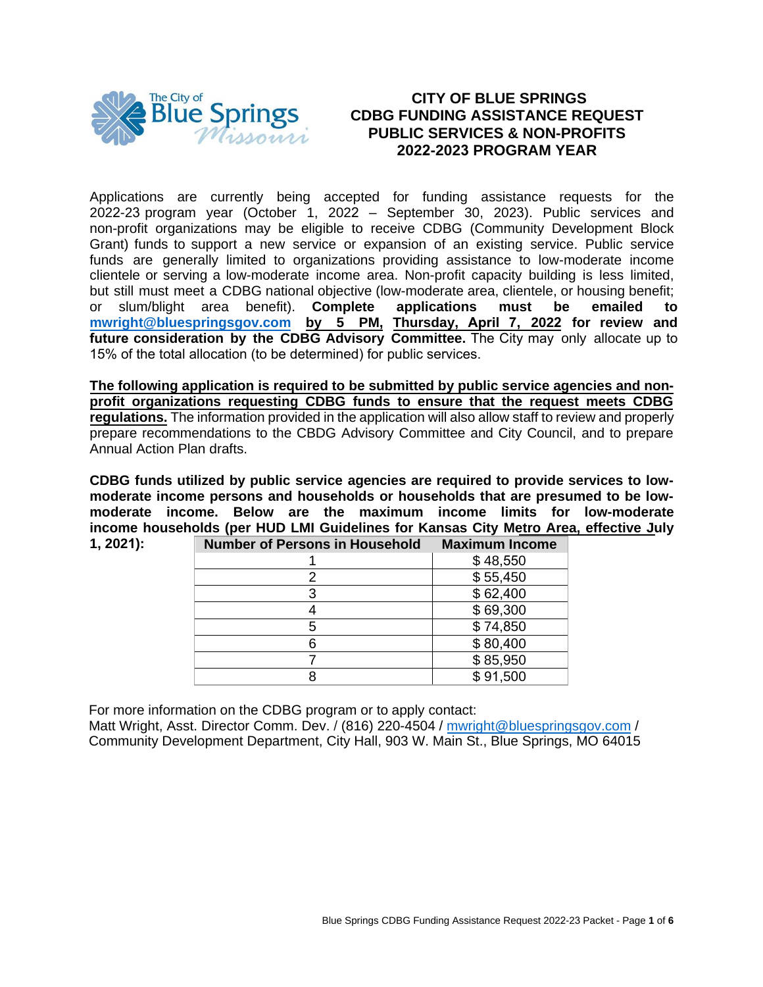

# **CITY OF BLUE SPRINGS CDBG FUNDING ASSISTANCE REQUEST PUBLIC SERVICES & NON-PROFITS 2022-2023 PROGRAM YEAR**

Applications are currently being accepted for funding assistance requests for the 2022-23 program year (October 1, 2022 – September 30, 2023). Public services and non-profit organizations may be eligible to receive CDBG (Community Development Block Grant) funds to support a new service or expansion of an existing service. Public service funds are generally limited to organizations providing assistance to low-moderate income clientele or serving a low-moderate income area. Non-profit capacity building is less limited, but still must meet a CDBG national objective (low-moderate area, clientele, or housing benefit; or slum/blight area benefit). **Complete applications must be emailed to [mwright@bluespringsgov.com](mailto:mwright@bluespringsgov.com) by 5 PM, Thursday, April 7, 2022 for review and future consideration by the CDBG Advisory Committee.** The City may only allocate up to 15% of the total allocation (to be determined) for public services.

**The following application is required to be submitted by public service agencies and nonprofit organizations requesting CDBG funds to ensure that the request meets CDBG regulations.** The information provided in the application will also allow staff to review and properly prepare recommendations to the CBDG Advisory Committee and City Council, and to prepare Annual Action Plan drafts.

**CDBG funds utilized by public service agencies are required to provide services to lowmoderate income persons and households or households that are presumed to be lowmoderate income. Below are the maximum income limits for low-moderate income households (per HUD LMI Guidelines for Kansas City Metro Area, effective July** 

| 1, 2021): | <b>Number of Persons in Household</b> | <b>Maximum Income</b> |
|-----------|---------------------------------------|-----------------------|
|           |                                       | \$48,550              |
|           |                                       | \$55,450              |
|           |                                       | \$62,400              |
|           |                                       | \$69,300              |
|           | 5                                     | \$74,850              |
|           | 6                                     | \$80,400              |
|           |                                       | \$85,950              |
|           |                                       | \$91,500              |

For more information on the CDBG program or to apply contact:

Matt Wright, Asst. Director Comm. Dev. / (816) 220-4504 / [mwright@blues](mailto:mwright@bluepsringsgov.com)pringsgov.com / Community Development Department, City Hall, 903 W. Main St., Blue Springs, MO 64015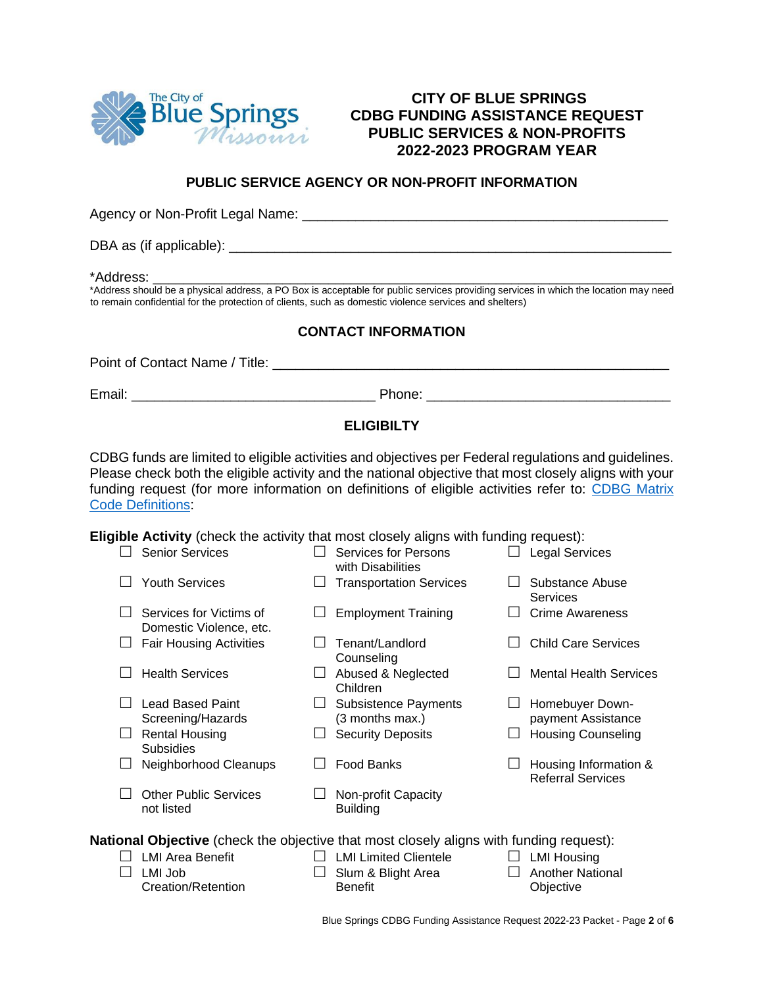

# **CITY OF BLUE SPRINGS CDBG FUNDING ASSISTANCE REQUEST PUBLIC SERVICES & NON-PROFITS 2022-2023 PROGRAM YEAR**

## **PUBLIC SERVICE AGENCY OR NON-PROFIT INFORMATION**

Agency or Non-Profit Legal Name: \_\_\_\_\_\_\_\_\_\_\_\_\_\_\_\_\_\_\_\_\_\_\_\_\_\_\_\_\_\_\_\_\_\_\_\_\_\_\_\_\_\_\_\_\_\_\_\_

DBA as (if applicable): \_\_\_\_\_\_\_\_\_\_\_\_\_\_\_\_\_\_\_\_\_\_\_\_\_\_\_\_\_\_\_\_\_\_\_\_\_\_\_\_\_\_\_\_\_\_\_\_\_\_\_\_\_\_\_\_\_\_

\*Address: \_\_\_\_\_\_\_\_\_\_\_\_\_\_\_\_\_\_\_\_\_\_\_\_\_\_\_\_\_\_\_\_\_\_\_\_\_\_\_\_\_\_\_\_\_\_\_\_\_\_\_\_\_\_\_\_\_\_\_\_\_\_\_\_\_\_\_\_

\*Address should be a physical address, a PO Box is acceptable for public services providing services in which the location may need to remain confidential for the protection of clients, such as domestic violence services and shelters)

### **CONTACT INFORMATION**

| Point of Contact Name / Title: |        |  |
|--------------------------------|--------|--|
| Email:                         | Phone: |  |

# **ELIGIBILTY**

CDBG funds are limited to eligible activities and objectives per Federal regulations and guidelines. Please check both the eligible activity and the national objective that most closely aligns with your funding request (for more information on definitions of eligible activities refer to: [CDBG Matrix](https://files.hudexchange.info/resources/documents/Matrix-Code-Definitions.pdf)  Code [Definitions:](https://files.hudexchange.info/resources/documents/Matrix-Code-Definitions.pdf)

**Eligible Activity** (check the activity that most closely aligns with funding request):

|                                                                                                | <b>Senior Services</b>                             |  | Services for Persons<br>with Disabilities      |  | <b>Legal Services</b>                             |
|------------------------------------------------------------------------------------------------|----------------------------------------------------|--|------------------------------------------------|--|---------------------------------------------------|
|                                                                                                | <b>Youth Services</b>                              |  | <b>Transportation Services</b>                 |  | Substance Abuse<br><b>Services</b>                |
|                                                                                                | Services for Victims of<br>Domestic Violence, etc. |  | <b>Employment Training</b>                     |  | <b>Crime Awareness</b>                            |
|                                                                                                | <b>Fair Housing Activities</b>                     |  | Tenant/Landlord<br>Counseling                  |  | <b>Child Care Services</b>                        |
|                                                                                                | <b>Health Services</b>                             |  | Abused & Neglected<br>Children                 |  | <b>Mental Health Services</b>                     |
|                                                                                                | Lead Based Paint<br>Screening/Hazards              |  | <b>Subsistence Payments</b><br>(3 months max.) |  | Homebuyer Down-<br>payment Assistance             |
|                                                                                                | <b>Rental Housing</b><br><b>Subsidies</b>          |  | <b>Security Deposits</b>                       |  | <b>Housing Counseling</b>                         |
|                                                                                                | Neighborhood Cleanups                              |  | <b>Food Banks</b>                              |  | Housing Information &<br><b>Referral Services</b> |
|                                                                                                | <b>Other Public Services</b><br>not listed         |  | Non-profit Capacity<br><b>Building</b>         |  |                                                   |
| <b>National Objective</b> (check the objective that most closely aligns with funding request): |                                                    |  |                                                |  |                                                   |
|                                                                                                | <b>LMI Area Benefit</b>                            |  | <b>LMI Limited Clientele</b>                   |  | <b>LMI Housing</b>                                |

- $\Box$  LMI Job Creation/Retention Benefit
- $\Box$  Slum & Blight Area
- Another National **Objective**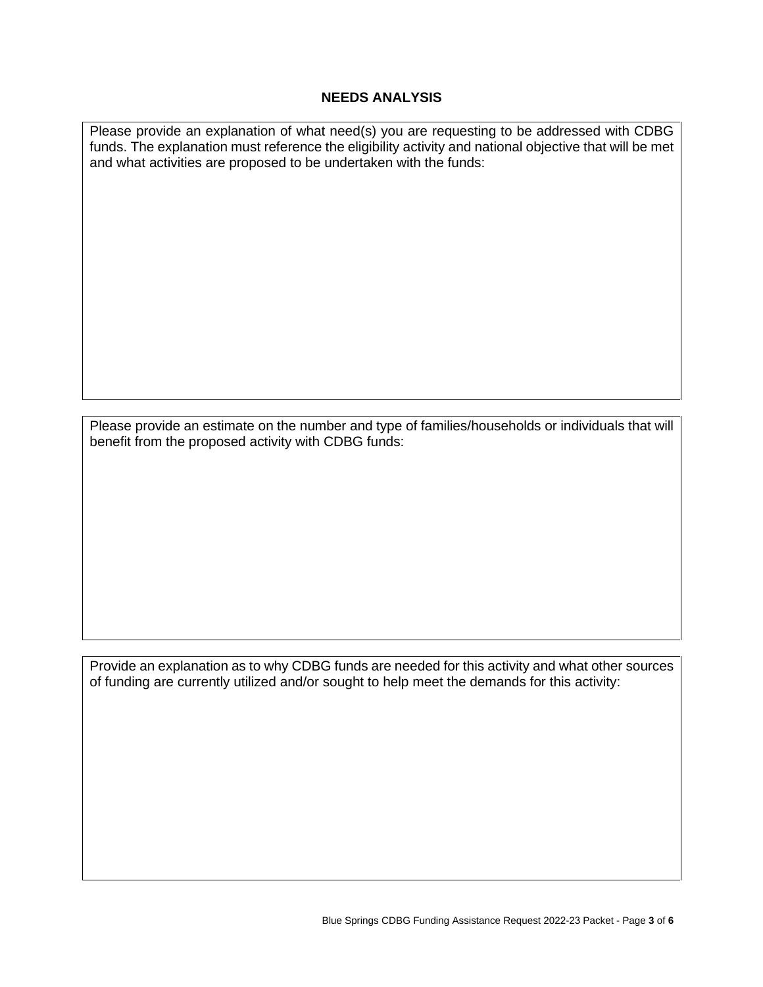#### **NEEDS ANALYSIS**

Please provide an explanation of what need(s) you are requesting to be addressed with CDBG funds. The explanation must reference the eligibility activity and national objective that will be met and what activities are proposed to be undertaken with the funds:

Please provide an estimate on the number and type of families/households or individuals that will benefit from the proposed activity with CDBG funds:

Provide an explanation as to why CDBG funds are needed for this activity and what other sources of funding are currently utilized and/or sought to help meet the demands for this activity: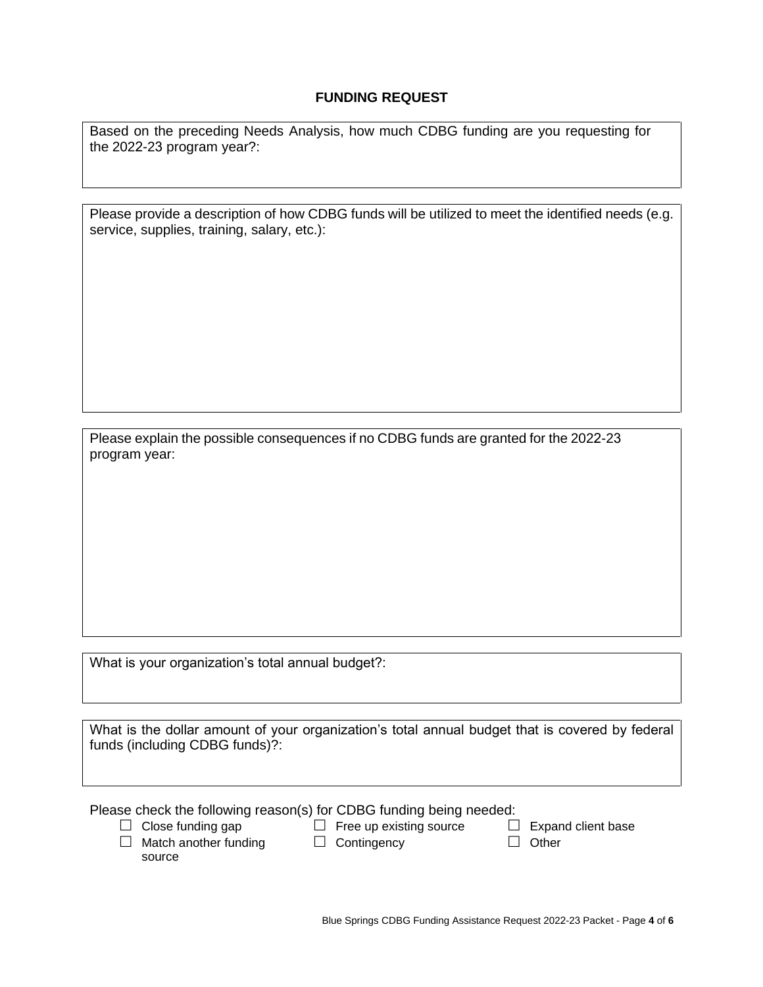## **FUNDING REQUEST**

Based on the preceding Needs Analysis, how much CDBG funding are you requesting for the 2022-23 program year?:

| Please provide a description of how CDBG funds will be utilized to meet the identified needs (e.g. |
|----------------------------------------------------------------------------------------------------|
| service, supplies, training, salary, etc.):                                                        |

Please explain the possible consequences if no CDBG funds are granted for the 2022-23 program year:

What is your organization's total annual budget?:

What is the dollar amount of your organization's total annual budget that is covered by federal funds (including CDBG funds)?:

Please check the following reason(s) for CDBG funding being needed:

 $\Box$  Close funding gap  $\Box$  Free up existing source  $\Box$  Expand client base  $\Box$  Match another funding  $\Box$  Contingency  $\Box$  Other

 $\Box$  Match another funding source

 $\Box$  Contingency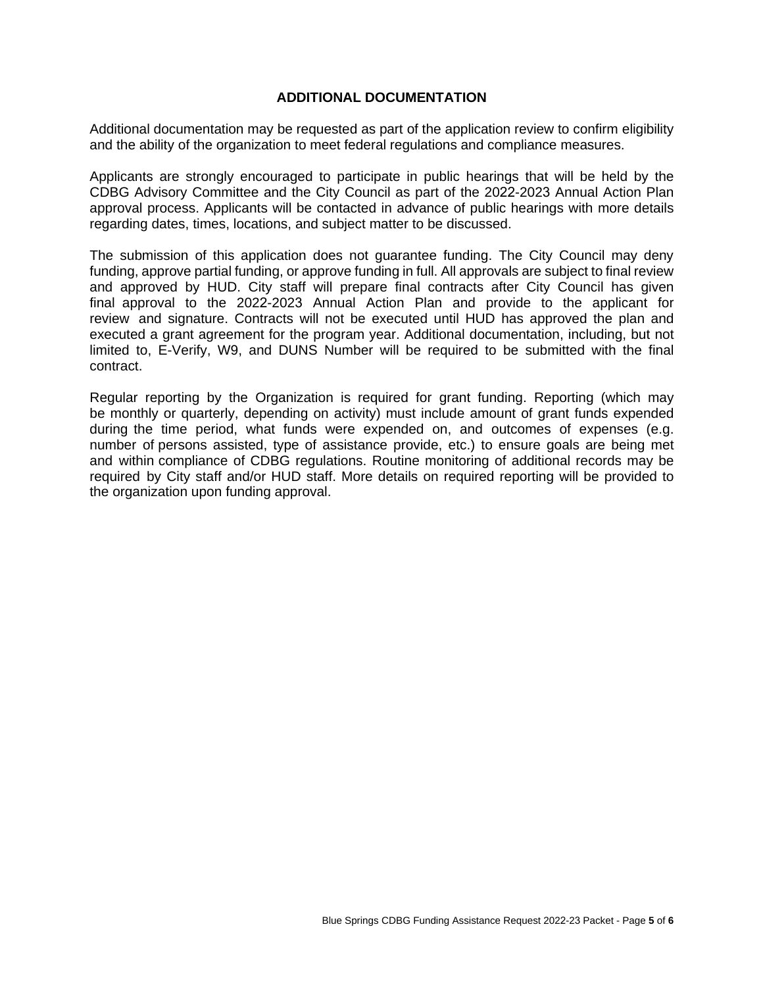#### **ADDITIONAL DOCUMENTATION**

Additional documentation may be requested as part of the application review to confirm eligibility and the ability of the organization to meet federal regulations and compliance measures.

Applicants are strongly encouraged to participate in public hearings that will be held by the CDBG Advisory Committee and the City Council as part of the 2022-2023 Annual Action Plan approval process. Applicants will be contacted in advance of public hearings with more details regarding dates, times, locations, and subject matter to be discussed.

The submission of this application does not guarantee funding. The City Council may deny funding, approve partial funding, or approve funding in full. All approvals are subject to final review and approved by HUD. City staff will prepare final contracts after City Council has given final approval to the 2022-2023 Annual Action Plan and provide to the applicant for review and signature. Contracts will not be executed until HUD has approved the plan and executed a grant agreement for the program year. Additional documentation, including, but not limited to, E-Verify, W9, and DUNS Number will be required to be submitted with the final contract.

Regular reporting by the Organization is required for grant funding. Reporting (which may be monthly or quarterly, depending on activity) must include amount of grant funds expended during the time period, what funds were expended on, and outcomes of expenses (e.g. number of persons assisted, type of assistance provide, etc.) to ensure goals are being met and within compliance of CDBG regulations. Routine monitoring of additional records may be required by City staff and/or HUD staff. More details on required reporting will be provided to the organization upon funding approval.